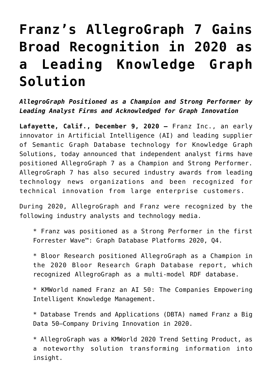## **[Franz's AllegroGraph 7 Gains](https://allegrograph.com/press_room/franzs-allegrograph-7-gains-broad-recognition-in-2020-as-a-leading-knowledge-graph-solution/) [Broad Recognition in 2020 as](https://allegrograph.com/press_room/franzs-allegrograph-7-gains-broad-recognition-in-2020-as-a-leading-knowledge-graph-solution/) [a Leading Knowledge Graph](https://allegrograph.com/press_room/franzs-allegrograph-7-gains-broad-recognition-in-2020-as-a-leading-knowledge-graph-solution/) [Solution](https://allegrograph.com/press_room/franzs-allegrograph-7-gains-broad-recognition-in-2020-as-a-leading-knowledge-graph-solution/)**

*AllegroGraph Positioned as a Champion and Strong Performer by Leading Analyst Firms and Acknowledged for Graph Innovation*

**Lafayette, Calif., December 9, 2020 —** [Franz Inc.,](https://franz.com) an early innovator in Artificial Intelligence (AI) and leading supplier of Semantic Graph Database technology for Knowledge Graph Solutions, today announced that independent analyst firms have positioned [AllegroGraph 7](https://allegrograph.com/) as a Champion and Strong Performer. AllegroGraph 7 has also secured industry awards from leading technology news organizations and been recognized for technical innovation from large enterprise customers.

During 2020, AllegroGraph and Franz were recognized by the following industry analysts and technology media.

\* Franz was positioned as a [Strong Performer in the first](https://www.forrester.com/report/The+Forrester+Wave+Graph+Data+Platforms+Q4+2020/-/E-RES161455) [Forrester Wave™](https://www.forrester.com/report/The+Forrester+Wave+Graph+Data+Platforms+Q4+2020/-/E-RES161455): Graph Database Platforms 2020, Q4.

\* Bloor Research positioned [AllegroGraph as a Champion](https://www.bloorresearch.com/technology/graph-databases/) in the 2020 Bloor Research Graph Database report, which recognized AllegroGraph as a multi-model RDF database.

\* KMWorld named Franz an [AI 50: The Companies Empowering](https://allegrograph.com/franz-inc-named-an-ai-50-company-by-kmworld/) [Intelligent Knowledge Management.](https://allegrograph.com/franz-inc-named-an-ai-50-company-by-kmworld/)

\* Database Trends and Applications (DBTA) named Franz a [Big](https://allegrograph.com/franz-inc-named-to-big-data-50-companies-driving-innovation-in-2020/) [Data 50—Company Driving Innovation in 2020.](https://allegrograph.com/franz-inc-named-to-big-data-50-companies-driving-innovation-in-2020/)

\* AllegroGraph was a KMWorld [2020 Trend Setting Product](https://allegrograph.com/allegrograph-trend-setting-product-for-2020/), as a noteworthy solution transforming information into insight.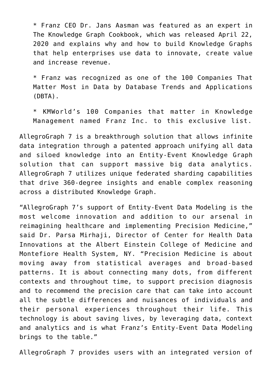\* Franz CEO Dr. Jans Aasman was featured as an expert in [The Knowledge Graph Cookbook](https://allegrograph.com/the-knowledge-graph-cookbook/), which was released April 22, 2020 and explains why and how to build Knowledge Graphs that help enterprises use data to innovate, create value and increase revenue.

\* Franz was recognized as one of the [100 Companies That](https://allegrograph.com/allegrograph-named-to-100-companies-that-matter-most-in-data/) [Matter Most in Data](https://allegrograph.com/allegrograph-named-to-100-companies-that-matter-most-in-data/) by Database Trends and Applications (DBTA).

\* KMWorld's [100 Companies that matter in Knowledge](https://allegrograph.com/100-companies-that-matter-in-knowledge-management/) [Management](https://allegrograph.com/100-companies-that-matter-in-knowledge-management/) named Franz Inc. to this exclusive list.

AllegroGraph 7 is a breakthrough solution that allows infinite data integration through a patented approach unifying all data and siloed knowledge into an Entity-Event Knowledge Graph solution that can support massive big data analytics. AllegroGraph 7 utilizes unique federated sharding capabilities that drive 360-degree insights and enable complex reasoning across a distributed Knowledge Graph.

"AllegroGraph 7's support of Entity-Event Data Modeling is the most welcome innovation and addition to our arsenal in reimagining healthcare and implementing Precision Medicine," said Dr. Parsa Mirhaji, Director of Center for Health Data Innovations at the Albert Einstein College of Medicine and Montefiore Health System, NY. "Precision Medicine is about moving away from statistical averages and broad-based patterns. It is about connecting many dots, from different contexts and throughout time, to support precision diagnosis and to recommend the precision care that can take into account all the subtle differences and nuisances of individuals and their personal experiences throughout their life. This technology is about saving lives, by leveraging data, context and analytics and is what Franz's Entity-Event Data Modeling brings to the table."

AllegroGraph 7 provides users with an integrated version of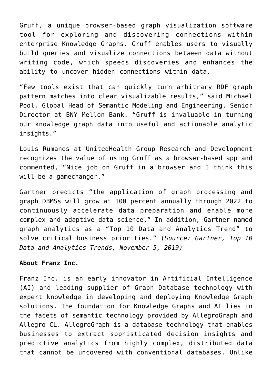[Gruff](https://allegrograph.com/products/gruff/), a unique browser-based graph visualization software tool for exploring and discovering connections within enterprise Knowledge Graphs. Gruff enables users to visually build queries and visualize connections between data without writing code, which speeds discoveries and enhances the ability to uncover hidden connections within data.

"Few tools exist that can quickly turn arbitrary RDF graph pattern matches into clear visualizable results," said Michael Pool, Global Head of Semantic Modeling and Engineering, Senior Director at BNY Mellon Bank. "Gruff is invaluable in turning our knowledge graph data into useful and actionable analytic insights."

Louis Rumanes at UnitedHealth Group Research and Development recognizes the value of using Gruff as a browser-based app and commented, "Nice job on Gruff in a browser and I think this will be a gamechanger."

Gartner predicts "the application of graph processing and [graph DBMSs will grow at 100 percent annually](https://www.gartner.com/smarterwithgartner/gartner-top-10-data-analytics-trends/) through 2022 to continuously accelerate data preparation and enable more complex and adaptive data science." In addition, Gartner named graph analytics as a "Top 10 Data and Analytics Trend" to solve critical business priorities." (*Source: Gartner, Top 10 Data and Analytics Trends, November 5, 2019)*

## **About Franz Inc.**

Franz Inc. is an early innovator in Artificial Intelligence (AI) and leading supplier of Graph Database technology with expert knowledge in developing and deploying Knowledge Graph solutions. The foundation for Knowledge Graphs and AI lies in the facets of semantic technology provided by AllegroGraph and Allegro CL. [AllegroGraph](https://allegrograph.com/) is a database technology that enables businesses to extract sophisticated decision insights and predictive analytics from highly complex, distributed data that cannot be uncovered with conventional databases. Unlike